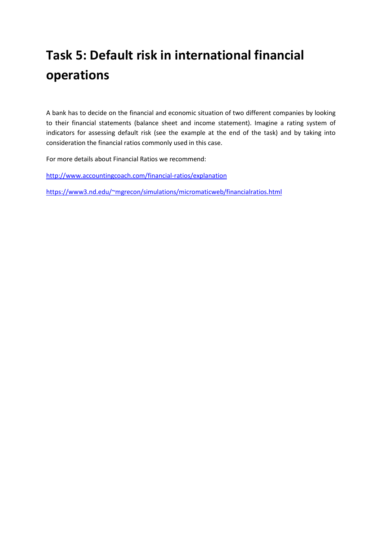# **Task 5: Default risk in international financial operations**

A bank has to decide on the financial and economic situation of two different companies by looking to their financial statements (balance sheet and income statement). Imagine a rating system of indicators for assessing default risk (see the example at the end of the task) and by taking into consideration the financial ratios commonly used in this case.

For more details about Financial Ratios we recommend:

<http://www.accountingcoach.com/financial-ratios/explanation>

<https://www3.nd.edu/~mgrecon/simulations/micromaticweb/financialratios.html>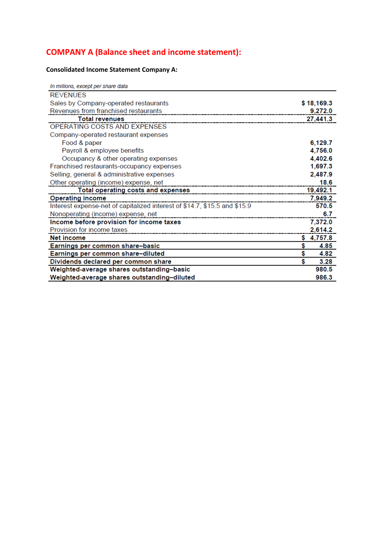## **COMPANY A (Balance sheet and income statement):**

### **Consolidated Income Statement Company A:**

| In millions, except per share data                                                                                                                                                                                                   |    |            |
|--------------------------------------------------------------------------------------------------------------------------------------------------------------------------------------------------------------------------------------|----|------------|
| <b>REVENUES</b>                                                                                                                                                                                                                      |    |            |
| Sales by Company-operated restaurants                                                                                                                                                                                                |    | \$18,169.3 |
| Revenues from franchised restaurants                                                                                                                                                                                                 |    | 9.272.0    |
| <b>Total revenues</b>                                                                                                                                                                                                                |    | 27,441.3   |
| OPERATING COSTS AND EXPENSES                                                                                                                                                                                                         |    |            |
| Company-operated restaurant expenses                                                                                                                                                                                                 |    |            |
| Food & paper                                                                                                                                                                                                                         |    | 6,129.7    |
| Payroll & employee benefits                                                                                                                                                                                                          |    | 4,756.0    |
| Occupancy & other operating expenses                                                                                                                                                                                                 |    | 4,402.6    |
| Franchised restaurants-occupancy expenses                                                                                                                                                                                            |    | 1,697.3    |
| Selling, general & administrative expenses                                                                                                                                                                                           |    | 2,487.9    |
| Other operating (income) expense, net                                                                                                                                                                                                |    | 18.6       |
| Total operating costs and expenses <b>container and all and the contract of the contract of the contract of the contract of the contract of the contract of the contract of the contract of the contract of the contract of the </b> |    | 19,492.1   |
| <b>Operating income</b>                                                                                                                                                                                                              |    | 7.949.2    |
| Interest expense-net of capitalized interest of \$14.7, \$15.5 and \$15.9                                                                                                                                                            |    | 570.5      |
| Nonoperating (income) expense, net                                                                                                                                                                                                   |    | 6.7        |
| Income before provision for income taxes                                                                                                                                                                                             |    | 7,372.0    |
| Provision for income taxes                                                                                                                                                                                                           |    | 2,614.2    |
| Net income                                                                                                                                                                                                                           | S. | 4,757.8    |
| Earnings per common share-basic                                                                                                                                                                                                      | \$ | 4.85       |
| Earnings per common share-diluted                                                                                                                                                                                                    | \$ | 4.82       |
| Dividends declared per common share                                                                                                                                                                                                  | \$ | 3.28       |
| Weighted-average shares outstanding-basic                                                                                                                                                                                            |    | 980.5      |
| Weighted-average shares outstanding-diluted                                                                                                                                                                                          |    | 986.3      |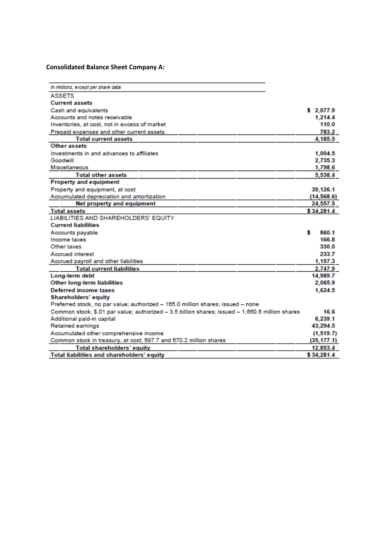#### **Consolidated Balance Sheet Company A:**

| In millions, except per share data                                                              |             |
|-------------------------------------------------------------------------------------------------|-------------|
| <b>ASSETS</b>                                                                                   |             |
| <b>Current assets</b>                                                                           |             |
| Cash and equivalents                                                                            | \$2,077.9   |
| Accounts and notes receivable                                                                   | 1,214.4     |
| Inventories, at cost, not in excess of market                                                   | 110.0       |
| Prepaid expenses and other current assets                                                       | 783.2       |
| <b>Total current assets</b>                                                                     | 4.185.5     |
| Other assets                                                                                    |             |
| Investments in and advances to affiliates                                                       | 1,004.5     |
| Goodwill                                                                                        | 2,735.3     |
| <b>Miscellaneous</b>                                                                            | 1,798.6     |
| <b>Total other assets</b>                                                                       | 5,538.4     |
| <b>Property and equipment</b>                                                                   |             |
| Property and equipment, at cost                                                                 | 39,126.1    |
| Accumulated depreciation and amortization                                                       | (14, 568.6) |
| Net property and equipment                                                                      | 24,557.5    |
| <b>Total assets</b>                                                                             | \$34,281.4  |
| LIABILITIES AND SHAREHOLDERS' EQUITY                                                            |             |
| <b>Current liabilities</b>                                                                      |             |
| Accounts payable                                                                                | s<br>860.1  |
| Income taxes                                                                                    | 166.8       |
| Other taxes                                                                                     | 330 0       |
| <b>Accrued interest</b>                                                                         | 233.7       |
| Accrued payroll and other liabilities                                                           | 1,157.3     |
| <b>Total current liabilities</b>                                                                | 2,747.9     |
| Long-term debt                                                                                  | 14,989.7    |
| <b>Other long-term liabilities</b>                                                              | 2.065.9     |
| <b>Deferred income taxes</b>                                                                    | 1,624.5     |
| <b>Shareholders' equity</b>                                                                     |             |
| Preferred stock, no par value; authorized - 165.0 million shares; issued - none                 |             |
| Common stock, \$.01 par value; authorized - 3.5 billion shares; issued - 1,660.6 million shares | 16.6        |
| Additional paid-in capital                                                                      | 6,239.1     |
| <b>Retained earnings</b>                                                                        | 43,294.5    |
| Accumulated other comprehensive income                                                          | (1, 519.7)  |
| Common stock in treasury, at cost; 697.7 and 670.2 million shares                               | (35, 177.1) |
| Total shareholders' equity                                                                      | 12,853.4    |
| Total liabilities and shareholders' equity                                                      | \$34,281.4  |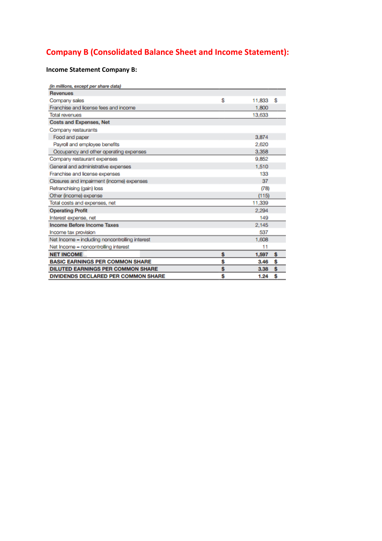## **Company B (Consolidated Balance Sheet and Income Statement):**

### **Income Statement Company B:**

| (in millions, except per share data)           |              |     |
|------------------------------------------------|--------------|-----|
| <b>Revenues</b>                                |              |     |
| Company sales                                  | \$<br>11,833 | \$  |
| Franchise and license fees and income          | 1,800        |     |
| <b>Total revenues</b>                          | 13,633       |     |
| <b>Costs and Expenses, Net</b>                 |              |     |
| Company restaurants                            |              |     |
| Food and paper                                 | 3.874        |     |
| Payroll and employee benefits                  | 2.620        |     |
| Occupancy and other operating expenses         | 3.358        |     |
| Company restaurant expenses                    | 9.852        |     |
| General and administrative expenses            | 1,510        |     |
| Franchise and license expenses                 | 133          |     |
| Closures and impairment (income) expenses      | 37           |     |
| Refranchising (gain) loss                      | (78)         |     |
| Other (income) expense                         | (115)        |     |
| Total costs and expenses, net                  | 11,339       |     |
| <b>Operating Profit</b>                        | 2.294        |     |
| Interest expense, net                          | 149          |     |
| <b>Income Before Income Taxes</b>              | 2.145        |     |
| Income tax provision                           | 537          |     |
| Net Income - including noncontrolling interest | 1,608        |     |
| Net Income - noncontrolling interest           | 11           |     |
| <b>NET INCOME</b>                              | \$<br>1,597  | \$. |
| <b>BASIC EARNINGS PER COMMON SHARE</b>         | \$<br>3.46   | Ŝ   |
| <b>DILUTED EARNINGS PER COMMON SHARE</b>       | \$<br>3.38   | Ś   |
| <b>DIVIDENDS DECLARED PER COMMON SHARE</b>     | \$<br>1.24   | Ś   |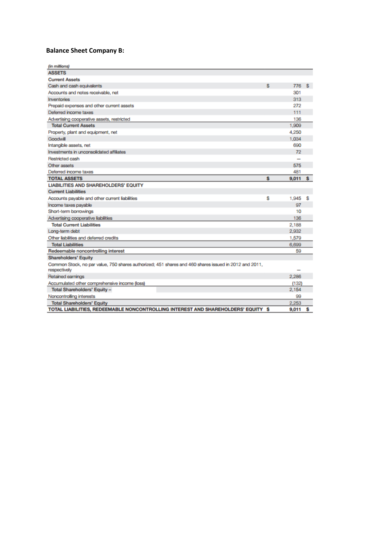### **Balance Sheet Company B:**

| (in millions)                                                                                                         |   |       |    |
|-----------------------------------------------------------------------------------------------------------------------|---|-------|----|
| <b>ASSETS</b>                                                                                                         |   |       |    |
| <b>Current Assets</b>                                                                                                 |   |       |    |
| Cash and cash equivalents                                                                                             | s | 776   | S. |
| Accounts and notes receivable, net                                                                                    |   | 301   |    |
| Inventories                                                                                                           |   | 313   |    |
| Prepaid expenses and other current assets                                                                             |   | 272   |    |
| Deferred income taxes                                                                                                 |   | 111   |    |
| Advertising cooperative assets, restricted                                                                            |   | 136   |    |
| <b>Total Current Assets</b>                                                                                           |   | 1,909 |    |
| Property, plant and equipment, net                                                                                    |   | 4.250 |    |
| Goodwill                                                                                                              |   | 1,034 |    |
| Intangible assets, net                                                                                                |   | 690   |    |
| Investments in unconsolidated affiliates                                                                              |   | 72    |    |
| <b>Restricted cash</b>                                                                                                |   |       |    |
| Other assets                                                                                                          |   | 575   |    |
| Deferred income taxes                                                                                                 |   | 481   |    |
| <b>TOTAL ASSETS</b>                                                                                                   | s | 9,011 | s  |
| <b>LIABILITIES AND SHAREHOLDERS' EQUITY</b>                                                                           |   |       |    |
| <b>Current Liabilities</b>                                                                                            |   |       |    |
| Accounts payable and other current liabilities                                                                        | s | 1,945 | S  |
| Income taxes payable                                                                                                  |   | 97    |    |
| Short-term borrowings                                                                                                 |   | 10    |    |
| Advertising cooperative liabilities                                                                                   |   | 136   |    |
| <b>Total Current Liabilities</b>                                                                                      |   | 2,188 |    |
| Long-term debt                                                                                                        |   | 2,932 |    |
| Other liabilities and deferred credits                                                                                |   | 1,579 |    |
| <b>Total Liabilities</b>                                                                                              |   | 6,699 |    |
| Redeemable noncontrolling interest                                                                                    |   | 59    |    |
| <b>Shareholders' Equity</b>                                                                                           |   |       |    |
| Common Stock, no par value, 750 shares authorized; 451 shares and 460 shares issued in 2012 and 2011,<br>respectively |   |       |    |
| Retained earnings                                                                                                     |   | 2,286 |    |
| Accumulated other comprehensive income (loss)                                                                         |   | (132) |    |
| Total Shareholders' Equity -                                                                                          |   | 2,154 |    |
| Noncontrolling interests                                                                                              |   | 99    |    |
| <b>Total Shareholders' Equity</b>                                                                                     |   | 2,253 |    |
| TOTAL LIABILITIES, REDEEMABLE NONCONTROLLING INTEREST AND SHAREHOLDERS' EQUITY \$                                     |   | 9.011 | s  |